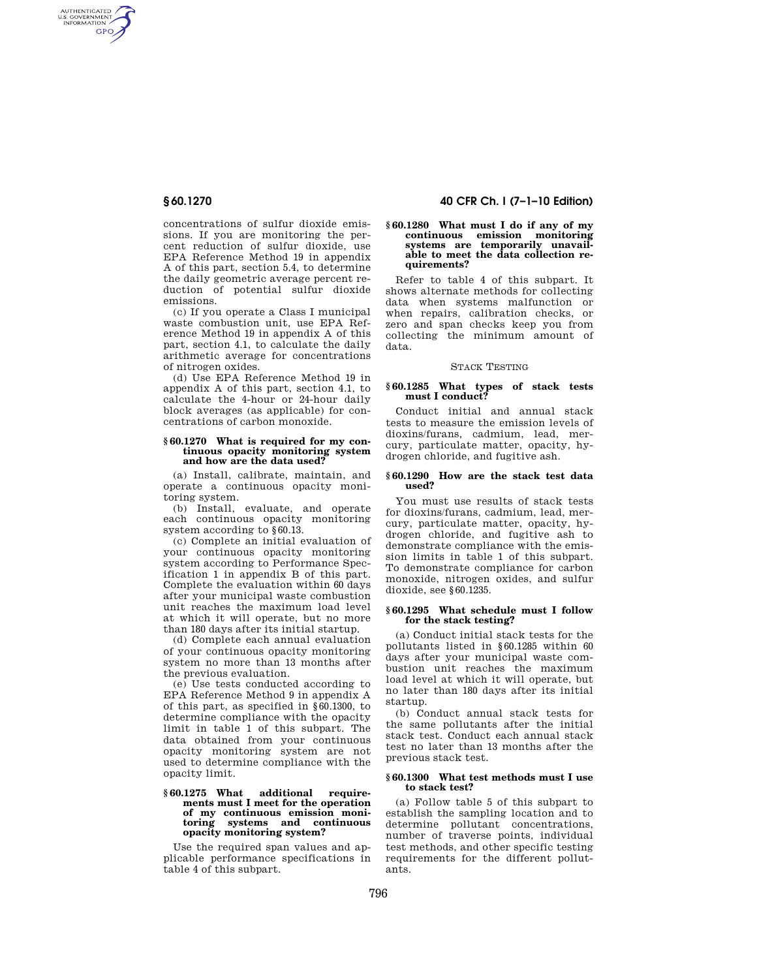AUTHENTICATED<br>U.S. GOVERNMENT<br>INFORMATION **GPO** 

> concentrations of sulfur dioxide emissions. If you are monitoring the percent reduction of sulfur dioxide, use EPA Reference Method 19 in appendix A of this part, section 5.4, to determine the daily geometric average percent reduction of potential sulfur dioxide emissions.

> (c) If you operate a Class I municipal waste combustion unit, use EPA Reference Method 19 in appendix A of this part, section 4.1, to calculate the daily arithmetic average for concentrations of nitrogen oxides.

> (d) Use EPA Reference Method 19 in appendix A of this part, section 4.1, to calculate the 4-hour or 24-hour daily block averages (as applicable) for concentrations of carbon monoxide.

## **§ 60.1270 What is required for my continuous opacity monitoring system and how are the data used?**

(a) Install, calibrate, maintain, and operate a continuous opacity monitoring system.

(b) Install, evaluate, and operate each continuous opacity monitoring system according to §60.13.

(c) Complete an initial evaluation of your continuous opacity monitoring system according to Performance Specification 1 in appendix B of this part. Complete the evaluation within 60 days after your municipal waste combustion unit reaches the maximum load level at which it will operate, but no more than 180 days after its initial startup.

(d) Complete each annual evaluation of your continuous opacity monitoring system no more than 13 months after the previous evaluation.

(e) Use tests conducted according to EPA Reference Method 9 in appendix A of this part, as specified in §60.1300, to determine compliance with the opacity limit in table 1 of this subpart. The data obtained from your continuous opacity monitoring system are not used to determine compliance with the opacity limit.

### **§ 60.1275 What additional requirements must I meet for the operation of my continuous emission monitoring systems and continuous opacity monitoring system?**

Use the required span values and applicable performance specifications in table 4 of this subpart.

# **§ 60.1270 40 CFR Ch. I (7–1–10 Edition)**

#### **§ 60.1280 What must I do if any of my continuous emission monitoring systems are temporarily unavailable to meet the data collection requirements?**

Refer to table 4 of this subpart. It shows alternate methods for collecting data when systems malfunction or when repairs, calibration checks, or zero and span checks keep you from collecting the minimum amount of data.

## STACK TESTING

#### **§ 60.1285 What types of stack tests must I conduct?**

Conduct initial and annual stack tests to measure the emission levels of dioxins/furans, cadmium, lead, mercury, particulate matter, opacity, hydrogen chloride, and fugitive ash.

### **§ 60.1290 How are the stack test data used?**

You must use results of stack tests for dioxins/furans, cadmium, lead, mercury, particulate matter, opacity, hydrogen chloride, and fugitive ash to demonstrate compliance with the emission limits in table 1 of this subpart. To demonstrate compliance for carbon monoxide, nitrogen oxides, and sulfur dioxide, see §60.1235.

## **§ 60.1295 What schedule must I follow for the stack testing?**

(a) Conduct initial stack tests for the pollutants listed in §60.1285 within 60 days after your municipal waste combustion unit reaches the maximum load level at which it will operate, but no later than 180 days after its initial startup.

(b) Conduct annual stack tests for the same pollutants after the initial stack test. Conduct each annual stack test no later than 13 months after the previous stack test.

## **§ 60.1300 What test methods must I use to stack test?**

(a) Follow table 5 of this subpart to establish the sampling location and to determine pollutant concentrations, number of traverse points, individual test methods, and other specific testing requirements for the different pollutants.